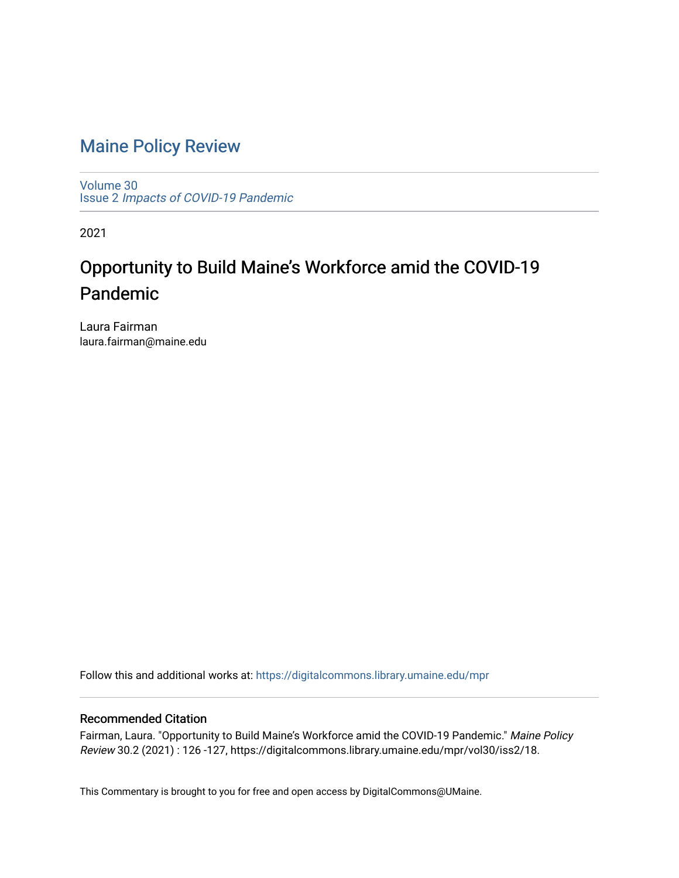## [Maine Policy Review](https://digitalcommons.library.umaine.edu/mpr)

[Volume 30](https://digitalcommons.library.umaine.edu/mpr/vol30) Issue 2 [Impacts of COVID-19 Pandemic](https://digitalcommons.library.umaine.edu/mpr/vol30/iss2)

2021

## Opportunity to Build Maine's Workforce amid the COVID-19 Pandemic

Laura Fairman laura.fairman@maine.edu

Follow this and additional works at: [https://digitalcommons.library.umaine.edu/mpr](https://digitalcommons.library.umaine.edu/mpr?utm_source=digitalcommons.library.umaine.edu%2Fmpr%2Fvol30%2Fiss2%2F18&utm_medium=PDF&utm_campaign=PDFCoverPages)

### Recommended Citation

Fairman, Laura. "Opportunity to Build Maine's Workforce amid the COVID-19 Pandemic." Maine Policy Review 30.2 (2021) : 126 -127, https://digitalcommons.library.umaine.edu/mpr/vol30/iss2/18.

This Commentary is brought to you for free and open access by DigitalCommons@UMaine.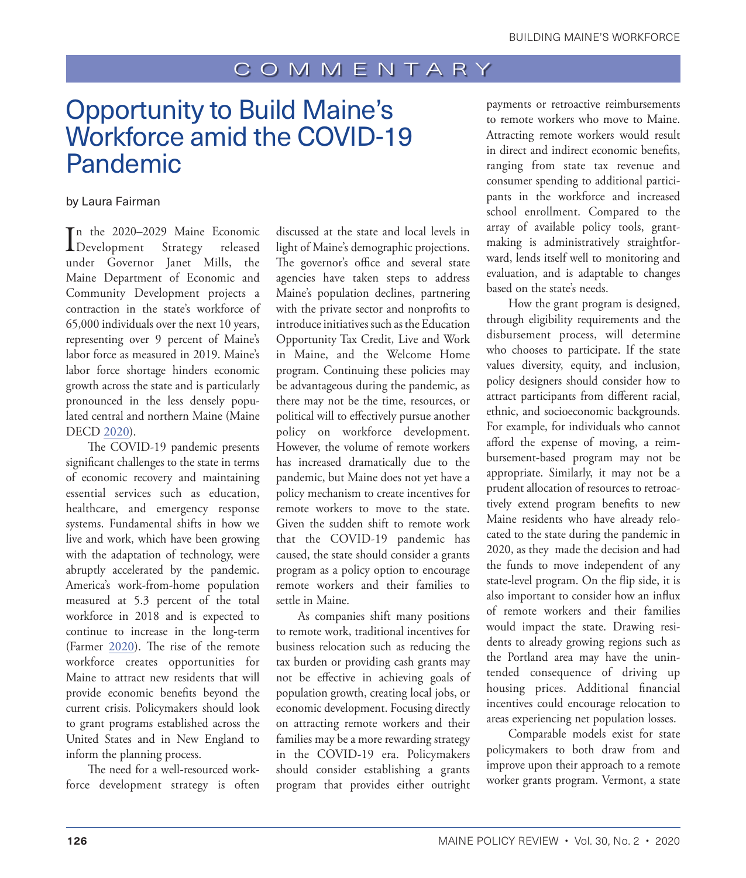## COMMENTARY

# Opportunity to Build Maine's Workforce amid the COVID-19 Pandemic

### by Laura Fairman

In the 2020–2029 Maine Economic<br>Development Strategy released n the 2020–2029 Maine Economic under Governor Janet Mills, the Maine Department of Economic and Community Development projects a contraction in the state's workforce of 65,000 individuals over the next 10 years, representing over 9 percent of Maine's labor force as measured in 2019. Maine's labor force shortage hinders economic growth across the state and is particularly pronounced in the less densely populated central and northern Maine (Maine DECD [2020](#page-2-0)).

The COVID-19 pandemic presents significant challenges to the state in terms of economic recovery and maintaining essential services such as education, healthcare, and emergency response systems. Fundamental shifts in how we live and work, which have been growing with the adaptation of technology, were abruptly accelerated by the pandemic. America's work-from-home population measured at 5.3 percent of the total workforce in 2018 and is expected to continue to increase in the long-term (Farmer [2020](#page-2-1)). The rise of the remote workforce creates opportunities for Maine to attract new residents that will provide economic benefits beyond the current crisis. Policymakers should look to grant programs established across the United States and in New England to inform the planning process.

The need for a well-resourced workforce development strategy is often discussed at the state and local levels in light of Maine's demographic projections. The governor's office and several state agencies have taken steps to address Maine's population declines, partnering with the private sector and nonprofits to introduce initiatives such as the Education Opportunity Tax Credit, Live and Work in Maine, and the Welcome Home program. Continuing these policies may be advantageous during the pandemic, as there may not be the time, resources, or political will to effectively pursue another policy on workforce development. However, the volume of remote workers has increased dramatically due to the pandemic, but Maine does not yet have a policy mechanism to create incentives for remote workers to move to the state. Given the sudden shift to remote work that the COVID-19 pandemic has caused, the state should consider a grants program as a policy option to encourage remote workers and their families to settle in Maine.

As companies shift many positions to remote work, traditional incentives for business relocation such as reducing the tax burden or providing cash grants may not be effective in achieving goals of population growth, creating local jobs, or economic development. Focusing directly on attracting remote workers and their families may be a more rewarding strategy in the COVID-19 era. Policymakers should consider establishing a grants program that provides either outright payments or retroactive reimbursements to remote workers who move to Maine. Attracting remote workers would result in direct and indirect economic benefits, ranging from state tax revenue and consumer spending to additional participants in the workforce and increased school enrollment. Compared to the array of available policy tools, grantmaking is administratively straightforward, lends itself well to monitoring and evaluation, and is adaptable to changes based on the state's needs.

How the grant program is designed, through eligibility requirements and the disbursement process, will determine who chooses to participate. If the state values diversity, equity, and inclusion, policy designers should consider how to attract participants from different racial, ethnic, and socioeconomic backgrounds. For example, for individuals who cannot afford the expense of moving, a reimbursement-based program may not be appropriate. Similarly, it may not be a prudent allocation of resources to retroactively extend program benefits to new Maine residents who have already relocated to the state during the pandemic in 2020, as they made the decision and had the funds to move independent of any state-level program. On the flip side, it is also important to consider how an influx of remote workers and their families would impact the state. Drawing residents to already growing regions such as the Portland area may have the unintended consequence of driving up housing prices. Additional financial incentives could encourage relocation to areas experiencing net population losses.

Comparable models exist for state policymakers to both draw from and improve upon their approach to a remote worker grants program. Vermont, a state